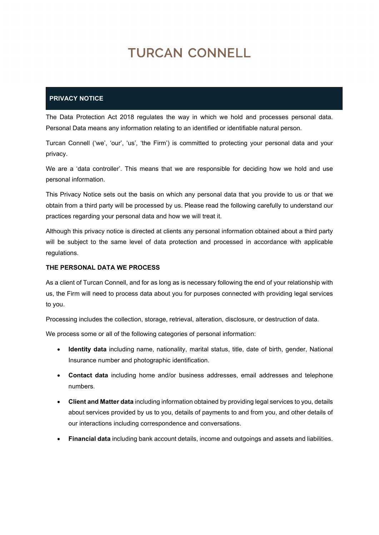# TURCAN CONNELL

## **PRIVACY NOTICE**

The Data Protection Act 2018 regulates the way in which we hold and processes personal data. Personal Data means any information relating to an identified or identifiable natural person.

Turcan Connell ('we', 'our', 'us', 'the Firm') is committed to protecting your personal data and your privacy.

We are a 'data controller'. This means that we are responsible for deciding how we hold and use personal information.

This Privacy Notice sets out the basis on which any personal data that you provide to us or that we obtain from a third party will be processed by us. Please read the following carefully to understand our practices regarding your personal data and how we will treat it.

Although this privacy notice is directed at clients any personal information obtained about a third party will be subject to the same level of data protection and processed in accordance with applicable regulations.

#### **THE PERSONAL DATA WE PROCESS**

As a client of Turcan Connell, and for as long as is necessary following the end of your relationship with us, the Firm will need to process data about you for purposes connected with providing legal services to you.

Processing includes the collection, storage, retrieval, alteration, disclosure, or destruction of data.

We process some or all of the following categories of personal information:

- **Identity data** including name, nationality, marital status, title, date of birth, gender, National Insurance number and photographic identification.
- **Contact data** including home and/or business addresses, email addresses and telephone numbers.
- **Client and Matter data** including information obtained by providing legal services to you, details about services provided by us to you, details of payments to and from you, and other details of our interactions including correspondence and conversations.
- **Financial data** including bank account details, income and outgoings and assets and liabilities.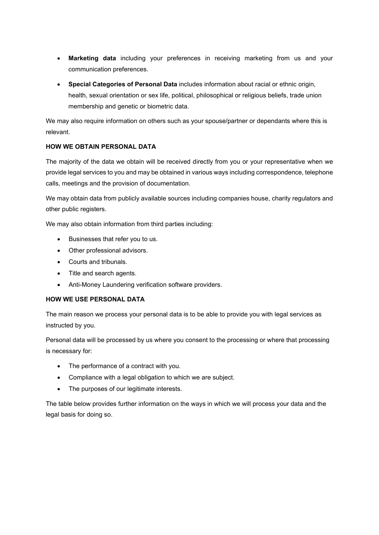- **Marketing data** including your preferences in receiving marketing from us and your communication preferences.
- **Special Categories of Personal Data** includes information about racial or ethnic origin, health, sexual orientation or sex life, political, philosophical or religious beliefs, trade union membership and genetic or biometric data.

We may also require information on others such as your spouse/partner or dependants where this is relevant.

## **HOW WE OBTAIN PERSONAL DATA**

The majority of the data we obtain will be received directly from you or your representative when we provide legal services to you and may be obtained in various ways including correspondence, telephone calls, meetings and the provision of documentation.

We may obtain data from publicly available sources including companies house, charity regulators and other public registers.

We may also obtain information from third parties including:

- Businesses that refer you to us.
- Other professional advisors.
- Courts and tribunals.
- Title and search agents.
- Anti-Money Laundering verification software providers.

#### **HOW WE USE PERSONAL DATA**

The main reason we process your personal data is to be able to provide you with legal services as instructed by you.

Personal data will be processed by us where you consent to the processing or where that processing is necessary for:

- The performance of a contract with you.
- Compliance with a legal obligation to which we are subject.
- The purposes of our legitimate interests.

The table below provides further information on the ways in which we will process your data and the legal basis for doing so.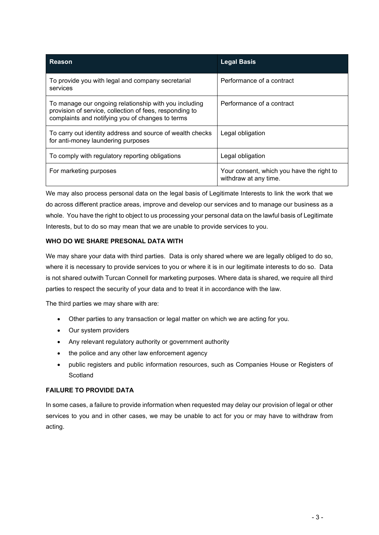| Reason                                                                                                                                                               | <b>Legal Basis</b>                                                 |
|----------------------------------------------------------------------------------------------------------------------------------------------------------------------|--------------------------------------------------------------------|
| To provide you with legal and company secretarial<br>services                                                                                                        | Performance of a contract                                          |
| To manage our ongoing relationship with you including<br>provision of service, collection of fees, responding to<br>complaints and notifying you of changes to terms | Performance of a contract                                          |
| To carry out identity address and source of wealth checks<br>for anti-money laundering purposes                                                                      | Legal obligation                                                   |
| To comply with regulatory reporting obligations                                                                                                                      | Legal obligation                                                   |
| For marketing purposes                                                                                                                                               | Your consent, which you have the right to<br>withdraw at any time. |

We may also process personal data on the legal basis of Legitimate Interests to link the work that we do across different practice areas, improve and develop our services and to manage our business as a whole. You have the right to object to us processing your personal data on the lawful basis of Legitimate Interests, but to do so may mean that we are unable to provide services to you.

## **WHO DO WE SHARE PRESONAL DATA WITH**

We may share your data with third parties. Data is only shared where we are legally obliged to do so, where it is necessary to provide services to you or where it is in our legitimate interests to do so. Data is not shared outwith Turcan Connell for marketing purposes. Where data is shared, we require all third parties to respect the security of your data and to treat it in accordance with the law.

The third parties we may share with are:

- Other parties to any transaction or legal matter on which we are acting for you.
- Our system providers
- Any relevant regulatory authority or government authority
- the police and any other law enforcement agency
- public registers and public information resources, such as Companies House or Registers of **Scotland**

#### **FAILURE TO PROVIDE DATA**

In some cases, a failure to provide information when requested may delay our provision of legal or other services to you and in other cases, we may be unable to act for you or may have to withdraw from acting.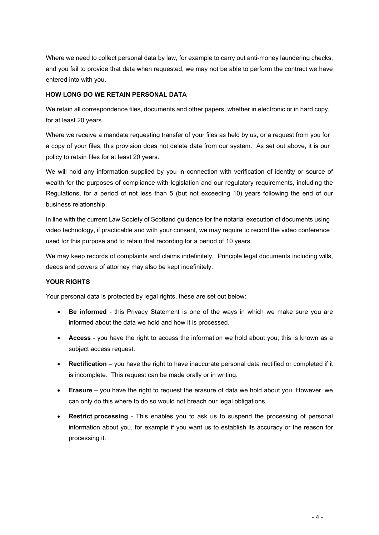Where we need to collect personal data by law, for example to carry out anti-money laundering checks, and you fail to provide that data when requested, we may not be able to perform the contract we have entered into with you.

#### **HOW LONG DO WE RETAIN PERSONAL DATA**

We retain all correspondence files, documents and other papers, whether in electronic or in hard copy, for at least 20 years.

Where we receive a mandate requesting transfer of your files as held by us, or a request from you for a copy of your files, this provision does not delete data from our system. As set out above, it is our policy to retain files for at least 20 years.

We will hold any information supplied by you in connection with verification of identity or source of wealth for the purposes of compliance with legislation and our regulatory requirements, including the Regulations, for a period of not less than 5 (but not exceeding 10) years following the end of our business relationship.

In line with the current Law Society of Scotland guidance for the notarial execution of documents using video technology, if practicable and with your consent, we may require to record the video conference used for this purpose and to retain that recording for a period of 10 years.

We may keep records of complaints and claims indefinitely. Principle legal documents including wills, deeds and powers of attorney may also be kept indefinitely.

## **YOUR RIGHTS**

Your personal data is protected by legal rights, these are set out below:

- **Be informed** this Privacy Statement is one of the ways in which we make sure you are informed about the data we hold and how it is processed.
- **Access** you have the right to access the information we hold about you; this is known as a subject access request.
- **Rectification** you have the right to have inaccurate personal data rectified or completed if it is incomplete. This request can be made orally or in writing.
- **Erasure** you have the right to request the erasure of data we hold about you. However, we can only do this where to do so would not breach our legal obligations.
- **Restrict processing** This enables you to ask us to suspend the processing of personal information about you, for example if you want us to establish its accuracy or the reason for processing it.